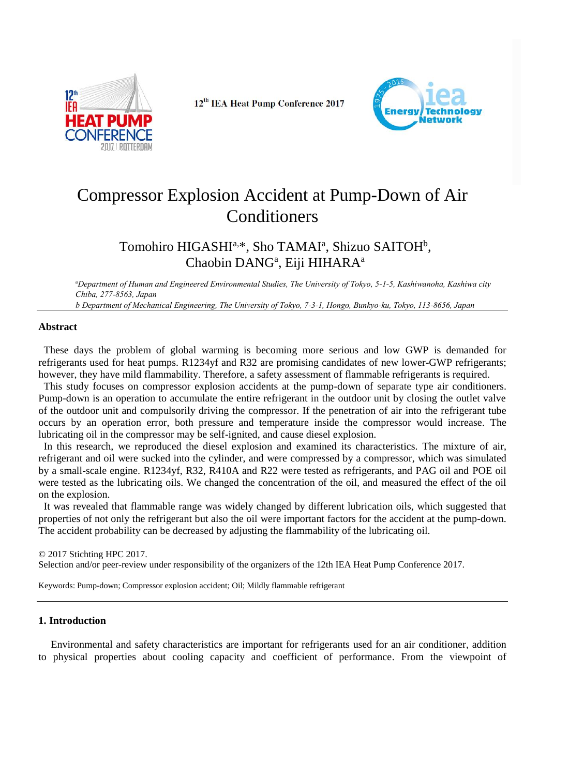

12<sup>th</sup> IEA Heat Pump Conference 2017



# Compressor Explosion Accident at Pump-Down of Air Conditioners

# Tomohiro HIGASHI<sup>a,\*</sup>, Sho TAMAI<sup>a</sup>, Shizuo SAITOH<sup>b</sup>, Chaobin DANG<sup>a</sup>, Eiji HIHARA<sup>a</sup>

<sup>a</sup>*Department of Human and Engineered Environmental Studies, The University of Tokyo, 5-1-5, Kashiwanoha, Kashiwa city Chiba, 277-8563, Japan*

*b Department of Mechanical Engineering, The University of Tokyo, 7-3-1, Hongo, Bunkyo-ku, Tokyo, 113-8656, Japan*

# **Abstract**

These days the problem of global warming is becoming more serious and low GWP is demanded for refrigerants used for heat pumps. R1234yf and R32 are promising candidates of new lower-GWP refrigerants; however, they have mild flammability. Therefore, a safety assessment of flammable refrigerants is required.

This study focuses on compressor explosion accidents at the pump-down of separate type air conditioners. Pump-down is an operation to accumulate the entire refrigerant in the outdoor unit by closing the outlet valve of the outdoor unit and compulsorily driving the compressor. If the penetration of air into the refrigerant tube occurs by an operation error, both pressure and temperature inside the compressor would increase. The lubricating oil in the compressor may be self-ignited, and cause diesel explosion.

In this research, we reproduced the diesel explosion and examined its characteristics. The mixture of air, refrigerant and oil were sucked into the cylinder, and were compressed by a compressor, which was simulated by a small-scale engine. R1234yf, R32, R410A and R22 were tested as refrigerants, and PAG oil and POE oil were tested as the lubricating oils. We changed the concentration of the oil, and measured the effect of the oil on the explosion.

It was revealed that flammable range was widely changed by different lubrication oils, which suggested that properties of not only the refrigerant but also the oil were important factors for the accident at the pump-down. The accident probability can be decreased by adjusting the flammability of the lubricating oil.

© 2017 Stichting HPC 2017.

Selection and/or peer-review under responsibility of the organizers of the 12th IEA Heat Pump Conference 2017.

Keywords: Pump-down; Compressor explosion accident; Oil; Mildly flammable refrigerant

# **1. Introduction**

Environmental and safety characteristics are important for refrigerants used for an air conditioner, addition to physical properties about cooling capacity and coefficient of performance. From the viewpoint of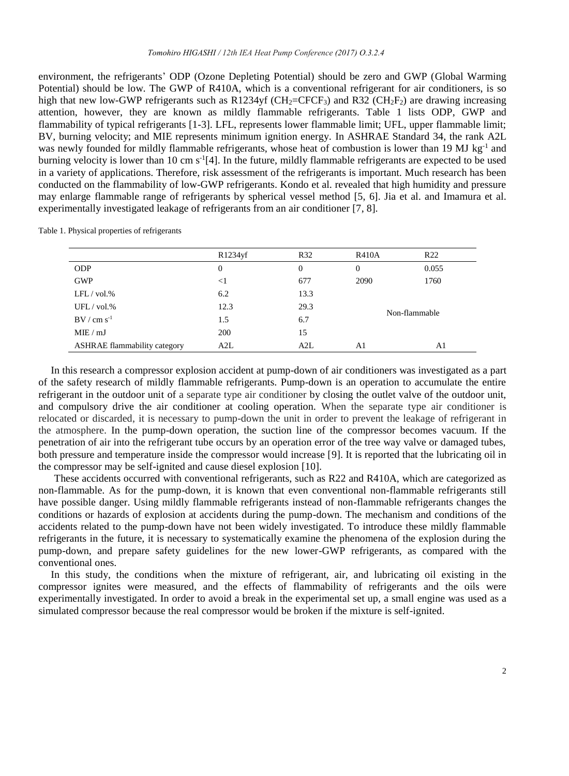environment, the refrigerants' ODP (Ozone Depleting Potential) should be zero and GWP (Global Warming Potential) should be low. The GWP of R410A, which is a conventional refrigerant for air conditioners, is so high that new low-GWP refrigerants such as R1234yf (CH<sub>2</sub>=CFCF<sub>3</sub>) and R32 (CH<sub>2</sub>F<sub>2</sub>) are drawing increasing attention, however, they are known as mildly flammable refrigerants. Table 1 lists ODP, GWP and flammability of typical refrigerants [1-3]. LFL, represents lower flammable limit; UFL, upper flammable limit; BV, burning velocity; and MIE represents minimum ignition energy. In ASHRAE Standard 34, the rank A2L was newly founded for mildly flammable refrigerants, whose heat of combustion is lower than 19 MJ kg<sup>-1</sup> and burning velocity is lower than 10 cm s -1 [4]. In the future, mildly flammable refrigerants are expected to be used in a variety of applications. Therefore, risk assessment of the refrigerants is important. Much research has been conducted on the flammability of low-GWP refrigerants. Kondo et al. revealed that high humidity and pressure may enlarge flammable range of refrigerants by spherical vessel method [5, 6]. Jia et al. and Imamura et al. experimentally investigated leakage of refrigerants from an air conditioner [7, 8].

Table 1. Physical properties of refrigerants

|                                     | R1234yf  | R32  | <b>R410A</b>  | R <sub>22</sub> |
|-------------------------------------|----------|------|---------------|-----------------|
| <b>ODP</b>                          | $\theta$ | 0    | 0             | 0.055           |
| <b>GWP</b>                          | $<$ 1    | 677  | 2090          | 1760            |
| $LFL$ / vol.%                       | 6.2      | 13.3 |               |                 |
| UFL / vol.%                         | 12.3     | 29.3 | Non-flammable |                 |
| $BV/cm s^{-1}$                      | 1.5      | 6.7  |               |                 |
| MIE / mJ                            | 200      | 15   |               |                 |
| <b>ASHRAE</b> flammability category | A2L      | A2L  | A1            | A1              |

In this research a compressor explosion accident at pump-down of air conditioners was investigated as a part of the safety research of mildly flammable refrigerants. Pump-down is an operation to accumulate the entire refrigerant in the outdoor unit of a separate type air conditioner by closing the outlet valve of the outdoor unit, and compulsory drive the air conditioner at cooling operation. When the separate type air conditioner is relocated or discarded, it is necessary to pump-down the unit in order to prevent the leakage of refrigerant in the atmosphere. In the pump-down operation, the suction line of the compressor becomes vacuum. If the penetration of air into the refrigerant tube occurs by an operation error of the tree way valve or damaged tubes, both pressure and temperature inside the compressor would increase [9]. It is reported that the lubricating oil in the compressor may be self-ignited and cause diesel explosion [10].

These accidents occurred with conventional refrigerants, such as R22 and R410A, which are categorized as non-flammable. As for the pump-down, it is known that even conventional non-flammable refrigerants still have possible danger. Using mildly flammable refrigerants instead of non-flammable refrigerants changes the conditions or hazards of explosion at accidents during the pump-down. The mechanism and conditions of the accidents related to the pump-down have not been widely investigated. To introduce these mildly flammable refrigerants in the future, it is necessary to systematically examine the phenomena of the explosion during the pump-down, and prepare safety guidelines for the new lower-GWP refrigerants, as compared with the conventional ones.

In this study, the conditions when the mixture of refrigerant, air, and lubricating oil existing in the compressor ignites were measured, and the effects of flammability of refrigerants and the oils were experimentally investigated. In order to avoid a break in the experimental set up, a small engine was used as a simulated compressor because the real compressor would be broken if the mixture is self-ignited.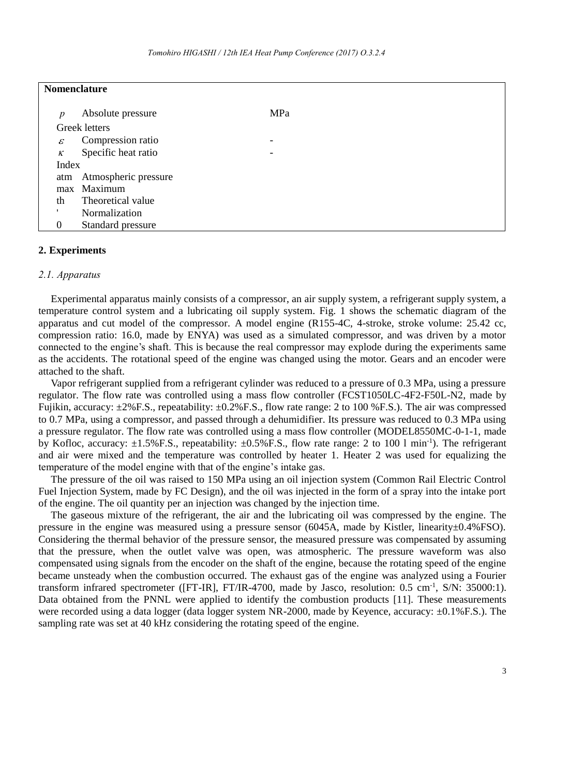| <b>Nomenclature</b> |                          |     |  |
|---------------------|--------------------------|-----|--|
| p                   | Absolute pressure        | MPa |  |
|                     | Greek letters            |     |  |
| $\mathcal E$        | Compression ratio        | -   |  |
| $\kappa$            | Specific heat ratio      | -   |  |
| Index               |                          |     |  |
|                     | atm Atmospheric pressure |     |  |
|                     | max Maximum              |     |  |
| th                  | Theoretical value        |     |  |
| ٠                   | Normalization            |     |  |
| $\theta$            | Standard pressure        |     |  |

### **2. Experiments**

#### *2.1. Apparatus*

Experimental apparatus mainly consists of a compressor, an air supply system, a refrigerant supply system, a temperature control system and a lubricating oil supply system. Fig. 1 shows the schematic diagram of the apparatus and cut model of the compressor. A model engine (R155-4C, 4-stroke, stroke volume: 25.42 cc, compression ratio: 16.0, made by ENYA) was used as a simulated compressor, and was driven by a motor connected to the engine's shaft. This is because the real compressor may explode during the experiments same as the accidents. The rotational speed of the engine was changed using the motor. Gears and an encoder were attached to the shaft.

Vapor refrigerant supplied from a refrigerant cylinder was reduced to a pressure of 0.3 MPa, using a pressure regulator. The flow rate was controlled using a mass flow controller (FCST1050LC-4F2-F50L-N2, made by Fujikin, accuracy: ±2%F.S., repeatability: ±0.2%F.S., flow rate range: 2 to 100 %F.S.). The air was compressed to 0.7 MPa, using a compressor, and passed through a dehumidifier. Its pressure was reduced to 0.3 MPa using a pressure regulator. The flow rate was controlled using a mass flow controller (MODEL8550MC-0-1-1, made by Kofloc, accuracy: ±1.5%F.S., repeatability: ±0.5%F.S., flow rate range: 2 to 100 l min-1 ). The refrigerant and air were mixed and the temperature was controlled by heater 1. Heater 2 was used for equalizing the temperature of the model engine with that of the engine's intake gas.

The pressure of the oil was raised to 150 MPa using an oil injection system (Common Rail Electric Control Fuel Injection System, made by FC Design), and the oil was injected in the form of a spray into the intake port of the engine. The oil quantity per an injection was changed by the injection time.

The gaseous mixture of the refrigerant, the air and the lubricating oil was compressed by the engine. The pressure in the engine was measured using a pressure sensor (6045A, made by Kistler, linearity±0.4%FSO). Considering the thermal behavior of the pressure sensor, the measured pressure was compensated by assuming that the pressure, when the outlet valve was open, was atmospheric. The pressure waveform was also compensated using signals from the encoder on the shaft of the engine, because the rotating speed of the engine became unsteady when the combustion occurred. The exhaust gas of the engine was analyzed using a Fourier transform infrared spectrometer ([FT-IR], FT/IR-4700, made by Jasco, resolution: 0.5 cm<sup>-1</sup>, S/N: 35000:1). Data obtained from the PNNL were applied to identify the combustion products [11]. These measurements were recorded using a data logger (data logger system NR-2000, made by Keyence, accuracy:  $\pm 0.1\%$  F.S.). The sampling rate was set at 40 kHz considering the rotating speed of the engine.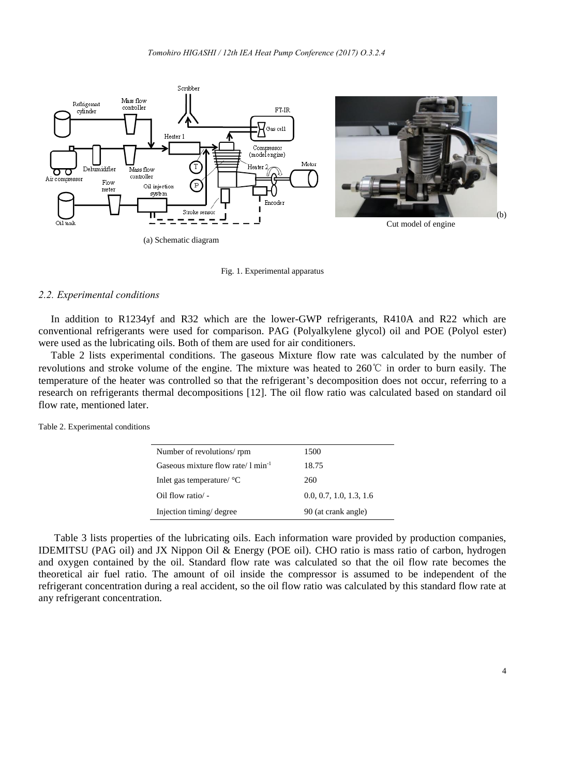

Fig. 1. Experimental apparatus

# *2.2. Experimental conditions*

In addition to R1234yf and R32 which are the lower-GWP refrigerants, R410A and R22 which are conventional refrigerants were used for comparison. PAG (Polyalkylene glycol) oil and POE (Polyol ester) were used as the lubricating oils. Both of them are used for air conditioners.

Table 2 lists experimental conditions. The gaseous Mixture flow rate was calculated by the number of revolutions and stroke volume of the engine. The mixture was heated to 260℃ in order to burn easily. The temperature of the heater was controlled so that the refrigerant's decomposition does not occur, referring to a research on refrigerants thermal decompositions [12]. The oil flow ratio was calculated based on standard oil flow rate, mentioned later.

Table 2. Experimental conditions

| Number of revolutions/ rpm                      | 1500                    |
|-------------------------------------------------|-------------------------|
| Gaseous mixture flow rate/ $1 \text{ min}^{-1}$ | 18.75                   |
| Inlet gas temperature/ $\rm{^{\circ}C}$         | 260                     |
| Oil flow ratio/ -                               | 0.0, 0.7, 1.0, 1.3, 1.6 |
| Injection timing/degree                         | 90 (at crank angle)     |

Table 3 lists properties of the lubricating oils. Each information ware provided by production companies, IDEMITSU (PAG oil) and JX Nippon Oil & Energy (POE oil). CHO ratio is mass ratio of carbon, hydrogen and oxygen contained by the oil. Standard flow rate was calculated so that the oil flow rate becomes the theoretical air fuel ratio. The amount of oil inside the compressor is assumed to be independent of the refrigerant concentration during a real accident, so the oil flow ratio was calculated by this standard flow rate at any refrigerant concentration.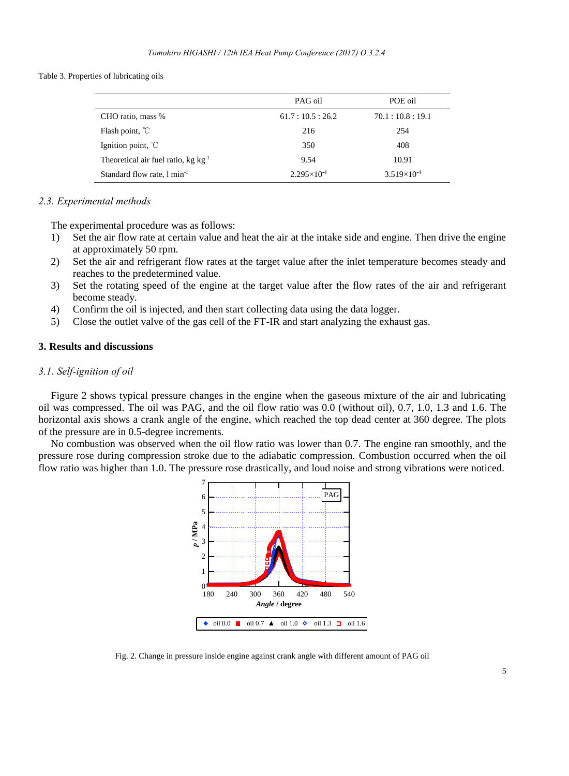Table 3. Properties of lubricating oils

|                                          | PAG oil                | POE oil              |
|------------------------------------------|------------------------|----------------------|
| CHO ratio, mass %                        | 61.7:10.5:26.2         | 70.1:10.8:19.1       |
| Flash point, $\mathbb{C}$                | 216                    | 254                  |
| Ignition point, $\mathbb{C}$             | 350                    | 408                  |
| Theoretical air fuel ratio, $kg kg^{-1}$ | 9.54                   | 10.91                |
| Standard flow rate, 1 min <sup>-1</sup>  | $2.295 \times 10^{-4}$ | $3.519\times10^{-4}$ |

### *2.3. Experimental methods*

The experimental procedure was as follows:

- 1) Set the air flow rate at certain value and heat the air at the intake side and engine. Then drive the engine at approximately 50 rpm.
- 2) Set the air and refrigerant flow rates at the target value after the inlet temperature becomes steady and reaches to the predetermined value.
- 3) Set the rotating speed of the engine at the target value after the flow rates of the air and refrigerant become steady.
- 4) Confirm the oil is injected, and then start collecting data using the data logger.
- 5) Close the outlet valve of the gas cell of the FT-IR and start analyzing the exhaust gas.

# **3. Results and discussions**

# *3.1. Self-ignition of oil*

Figure 2 shows typical pressure changes in the engine when the gaseous mixture of the air and lubricating oil was compressed. The oil was PAG, and the oil flow ratio was 0.0 (without oil), 0.7, 1.0, 1.3 and 1.6. The horizontal axis shows a crank angle of the engine, which reached the top dead center at 360 degree. The plots of the pressure are in 0.5-degree increments.

No combustion was observed when the oil flow ratio was lower than 0.7. The engine ran smoothly, and the pressure rose during compression stroke due to the adiabatic compression. Combustion occurred when the oil flow ratio was higher than 1.0. The pressure rose drastically, and loud noise and strong vibrations were noticed.



Fig. 2. Change in pressure inside engine against crank angle with different amount of PAG oil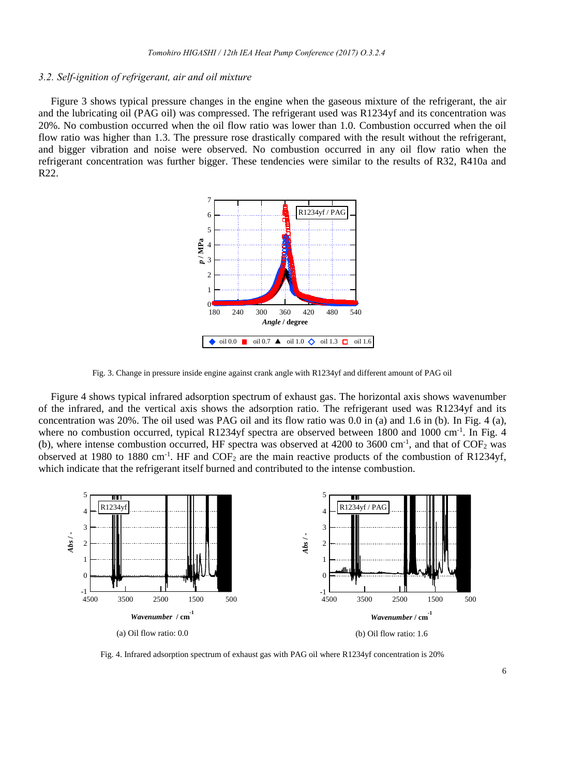# *3.2. Self-ignition of refrigerant, air and oil mixture*

Figure 3 shows typical pressure changes in the engine when the gaseous mixture of the refrigerant, the air and the lubricating oil (PAG oil) was compressed. The refrigerant used was R1234yf and its concentration was 20%. No combustion occurred when the oil flow ratio was lower than 1.0. Combustion occurred when the oil flow ratio was higher than 1.3. The pressure rose drastically compared with the result without the refrigerant, and bigger vibration and noise were observed. No combustion occurred in any oil flow ratio when the refrigerant concentration was further bigger. These tendencies were similar to the results of R32, R410a and R22.



Fig. 3. Change in pressure inside engine against crank angle with R1234yf and different amount of PAG oil

Figure 4 shows typical infrared adsorption spectrum of exhaust gas. The horizontal axis shows wavenumber of the infrared, and the vertical axis shows the adsorption ratio. The refrigerant used was R1234yf and its concentration was  $20\%$ . The oil used was PAG oil and its flow ratio was 0.0 in (a) and 1.6 in (b). In Fig. 4 (a), where no combustion occurred, typical R1234yf spectra are observed between 1800 and 1000 cm<sup>-1</sup>. In Fig. 4 (b), where intense combustion occurred, HF spectra was observed at 4200 to 3600 cm<sup>-1</sup>, and that of  $\text{COF}_2$  was observed at 1980 to 1880 cm<sup>-1</sup>. HF and  $\text{COF}_2$  are the main reactive products of the combustion of R1234yf, which indicate that the refrigerant itself burned and contributed to the intense combustion.



Fig. 4. Infrared adsorption spectrum of exhaust gas with PAG oil where R1234yf concentration is 20%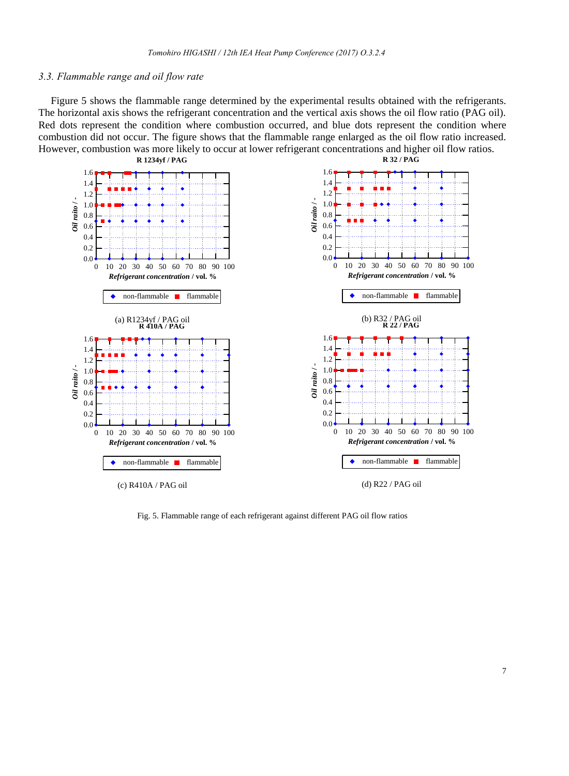#### *3.3. Flammable range and oil flow rate*

Figure 5 shows the flammable range determined by the experimental results obtained with the refrigerants. The horizontal axis shows the refrigerant concentration and the vertical axis shows the oil flow ratio (PAG oil). Red dots represent the condition where combustion occurred, and blue dots represent the condition where combustion did not occur. The figure shows that the flammable range enlarged as the oil flow ratio increased. However, combustion was more likely to occur at lower refrigerant concentrations and higher oil flow ratios.



Fig. 5. Flammable range of each refrigerant against different PAG oil flow ratios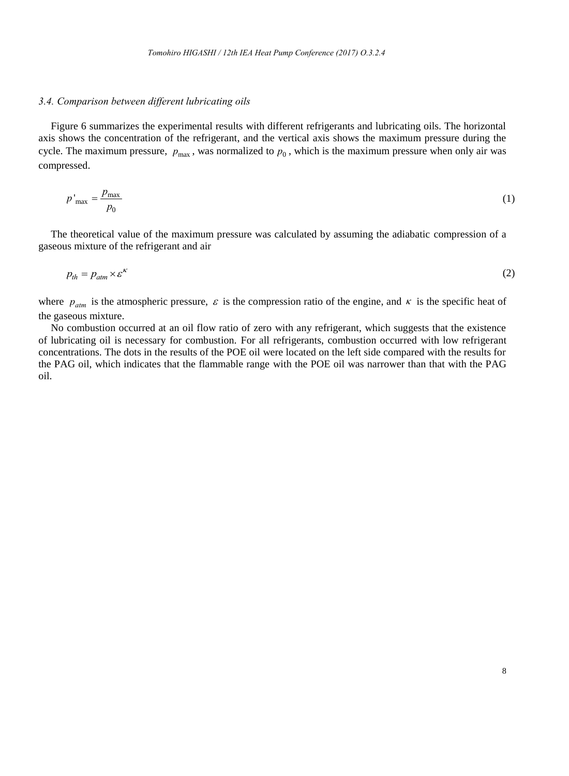# *3.4. Comparison between different lubricating oils*

Figure 6 summarizes the experimental results with different refrigerants and lubricating oils. The horizontal axis shows the concentration of the refrigerant, and the vertical axis shows the maximum pressure during the cycle. The maximum pressure,  $p_{\text{max}}$ , was normalized to  $p_0$ , which is the maximum pressure when only air was compressed.

$$
p'_{\text{max}} = \frac{p_{\text{max}}}{p_0} \tag{1}
$$

The theoretical value of the maximum pressure was calculated by assuming the adiabatic compression of a gaseous mixture of the refrigerant and air

$$
p_{th} = p_{atm} \times \varepsilon^{k} \tag{2}
$$

where  $p_{atm}$  is the atmospheric pressure,  $\varepsilon$  is the compression ratio of the engine, and  $\kappa$  is the specific heat of the gaseous mixture.

No combustion occurred at an oil flow ratio of zero with any refrigerant, which suggests that the existence of lubricating oil is necessary for combustion. For all refrigerants, combustion occurred with low refrigerant concentrations. The dots in the results of the POE oil were located on the left side compared with the results for the PAG oil, which indicates that the flammable range with the POE oil was narrower than that with the PAG oil.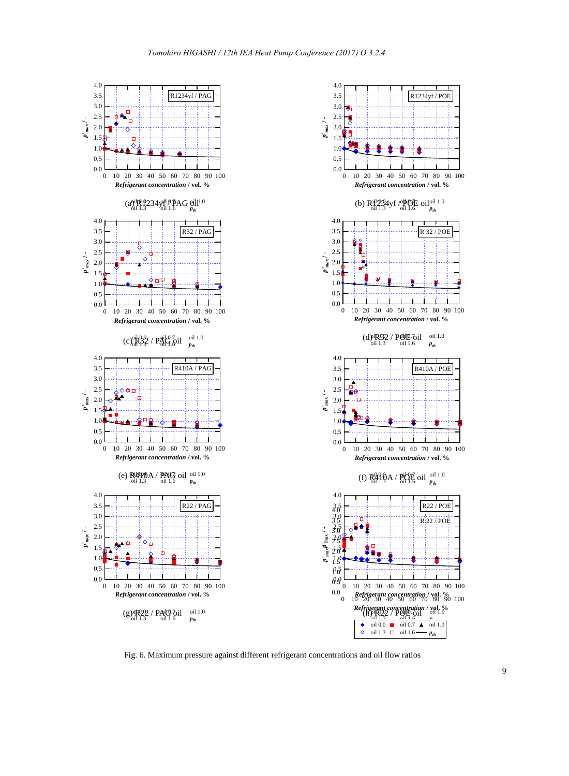

Fig. 6. Maximum pressure against different refrigerant concentrations and oil flow ratios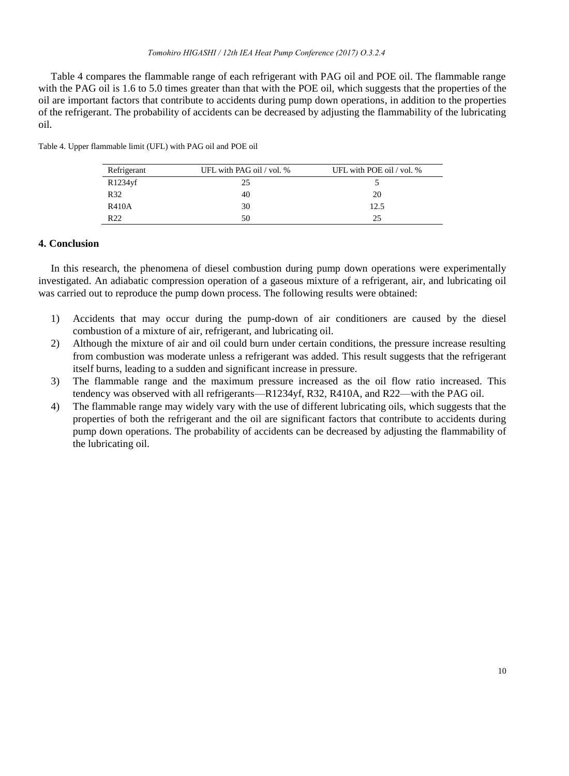Table 4 compares the flammable range of each refrigerant with PAG oil and POE oil. The flammable range with the PAG oil is 1.6 to 5.0 times greater than that with the POE oil, which suggests that the properties of the oil are important factors that contribute to accidents during pump down operations, in addition to the properties of the refrigerant. The probability of accidents can be decreased by adjusting the flammability of the lubricating oil.

| Refrigerant  | UFL with PAG oil / vol. % | UFL with POE oil / vol. % |
|--------------|---------------------------|---------------------------|
| R1234yf      | 25                        |                           |
| R32          | 40                        | 20                        |
| <b>R410A</b> | 30                        | 12.5                      |
| R22          | 50                        | 25                        |

Table 4. Upper flammable limit (UFL) with PAG oil and POE oil

#### **4. Conclusion**

In this research, the phenomena of diesel combustion during pump down operations were experimentally investigated. An adiabatic compression operation of a gaseous mixture of a refrigerant, air, and lubricating oil was carried out to reproduce the pump down process. The following results were obtained:

- 1) Accidents that may occur during the pump-down of air conditioners are caused by the diesel combustion of a mixture of air, refrigerant, and lubricating oil.
- 2) Although the mixture of air and oil could burn under certain conditions, the pressure increase resulting from combustion was moderate unless a refrigerant was added. This result suggests that the refrigerant itself burns, leading to a sudden and significant increase in pressure.
- 3) The flammable range and the maximum pressure increased as the oil flow ratio increased. This tendency was observed with all refrigerants—R1234yf, R32, R410A, and R22—with the PAG oil.
- 4) The flammable range may widely vary with the use of different lubricating oils, which suggests that the properties of both the refrigerant and the oil are significant factors that contribute to accidents during pump down operations. The probability of accidents can be decreased by adjusting the flammability of the lubricating oil.